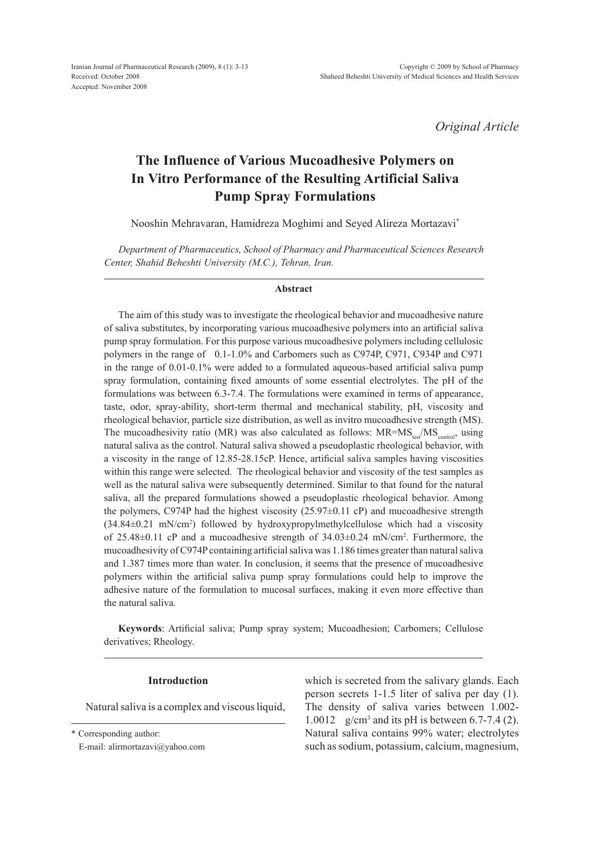Iranian Journal of Pharmaceutical Research (2009), 8 (1): 3-13 Received: October 2008 Accepted: November 2008

*Original Article*

# **The Influence of Various Mucoadhesive Polymers on In Vitro Performance of the Resulting Artificial Saliva Pump Spray Formulations**

Nooshin Mehravaran, Hamidreza Moghimi and Seyed Alireza Mortazavi\*

*Department of Pharmaceutics, School of Pharmacy and Pharmaceutical Sciences Research Center, Shahid Beheshti University (M.C.), Tehran, Iran.* 

#### **Abstract**

The aim of this study was to investigate the rheological behavior and mucoadhesive nature of saliva substitutes, by incorporating various mucoadhesive polymers into an artificial saliva pump spray formulation. For this purpose various mucoadhesive polymers including cellulosic polymers in the range of 0.1-1.0% and Carbomers such as C974p, C971, C934p and C971 in the range of 0.01-0.1% were added to a formulated aqueous-based artificial saliva pump spray formulation, containing fixed amounts of some essential electrolytes. The pH of the formulations was between 6.3-7.4. The formulations were examined in terms of appearance, taste, odor, spray-ability, short-term thermal and mechanical stability, pH, viscosity and rheological behavior, particle size distribution, as well as invitro mucoadhesive strength (MS). The mucoadhesivity ratio (MR) was also calculated as follows:  $MR = MS_{\text{test}}/MS_{\text{control}}$ , using natural saliva as the control. Natural saliva showed a pseudoplastic rheological behavior, with a viscosity in the range of 12.85-28.15cP. Hence, artificial saliva samples having viscosities within this range were selected. The rheological behavior and viscosity of the test samples as well as the natural saliva were subsequently determined. Similar to that found for the natural saliva, all the prepared formulations showed a pseudoplastic rheological behavior. Among the polymers, C974P had the highest viscosity (25.97±0.11 cP) and mucoadhesive strength (34.84±0.21 mN/cm2 ) followed by hydroxypropylmethylcellulose which had a viscosity of 25.48±0.11 cP and a mucoadhesive strength of 34.03±0.24 mN/cm2 . Furthermore, the mucoadhesivity of C974p containing artificial saliva was 1.186 times greater than natural saliva and 1.387 times more than water. In conclusion, it seems that the presence of mucoadhesive polymers within the artificial saliva pump spray formulations could help to improve the adhesive nature of the formulation to mucosal surfaces, making it even more effective than the natural saliva.

**Keywords**: Artificial saliva; Pump spray system; Mucoadhesion; Carbomers; Cellulose derivatives; Rheology.

#### **Introduction**

Natural saliva is a complex and viscous liquid,

\* Corresponding author:

E-mail: alirmortazavi@yahoo.com

which is secreted from the salivary glands. Each person secrets 1-1.5 liter of saliva per day (1). The density of saliva varies between 1.002- 1.0012 g/cm3 and its pH is between 6.7-7.4 (2). Natural saliva contains 99% water; electrolytes such as sodium, potassium, calcium, magnesium,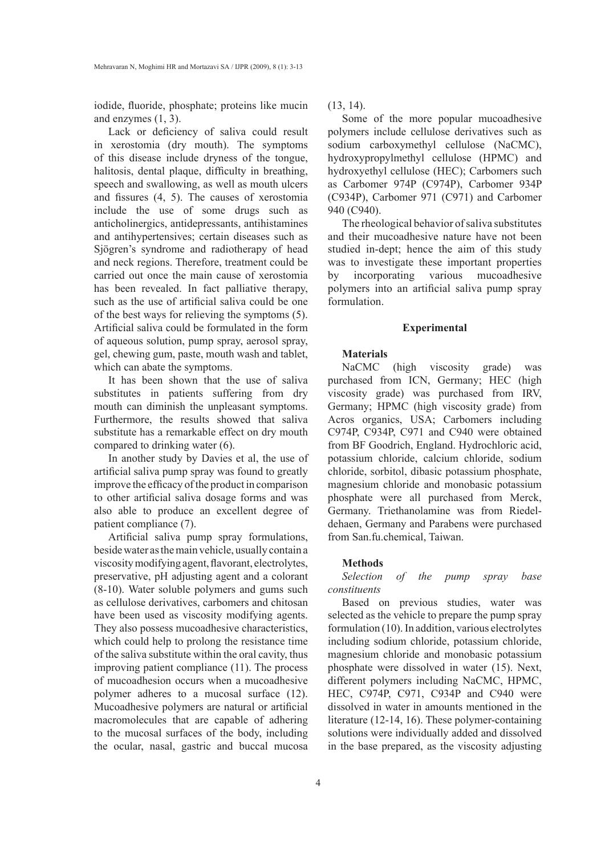iodide, fluoride, phosphate; proteins like mucin and enzymes (1, 3).

Lack or deficiency of saliva could result in xerostomia (dry mouth). The symptoms of this disease include dryness of the tongue, halitosis, dental plaque, difficulty in breathing, speech and swallowing, as well as mouth ulcers and fissures (4, 5). The causes of xerostomia include the use of some drugs such as anticholinergics, antidepressants, antihistamines and antihypertensives; certain diseases such as Sjögren's syndrome and radiotherapy of head and neck regions. Therefore, treatment could be carried out once the main cause of xerostomia has been revealed. In fact palliative therapy, such as the use of artificial saliva could be one of the best ways for relieving the symptoms (5). Artificial saliva could be formulated in the form of aqueous solution, pump spray, aerosol spray, gel, chewing gum, paste, mouth wash and tablet, which can abate the symptoms.

It has been shown that the use of saliva substitutes in patients suffering from dry mouth can diminish the unpleasant symptoms. Furthermore, the results showed that saliva substitute has a remarkable effect on dry mouth compared to drinking water (6).

In another study by Davies et al, the use of artificial saliva pump spray was found to greatly improve the efficacy of the product in comparison to other artificial saliva dosage forms and was also able to produce an excellent degree of patient compliance (7).

Artificial saliva pump spray formulations, beside water as the main vehicle, usually contain a viscosity modifying agent, flavorant, electrolytes, preservative, pH adjusting agent and a colorant (8-10). Water soluble polymers and gums such as cellulose derivatives, carbomers and chitosan have been used as viscosity modifying agents. They also possess mucoadhesive characteristics, which could help to prolong the resistance time of the saliva substitute within the oral cavity, thus improving patient compliance (11). The process of mucoadhesion occurs when a mucoadhesive polymer adheres to a mucosal surface (12). Mucoadhesive polymers are natural or artificial macromolecules that are capable of adhering to the mucosal surfaces of the body, including the ocular, nasal, gastric and buccal mucosa  $(13, 14)$ .

Some of the more popular mucoadhesive polymers include cellulose derivatives such as sodium carboxymethyl cellulose (NaCMC), hydroxypropylmethyl cellulose (HPMC) and hydroxyethyl cellulose (HEC); carbomers such as Carbomer 974p (C974P), Carbomer 934p (C934P), Carbomer 971 (C971) and Carbomer 940 (C940).

The rheological behavior of saliva substitutes and their mucoadhesive nature have not been studied in-dept; hence the aim of this study was to investigate these important properties by incorporating various mucoadhesive polymers into an artificial saliva pump spray formulation.

#### **Experimental**

# **Materials**

NaCMC (high viscosity grade) was purchased from ICN, Germany; HEC (high viscosity grade) was purchased from IRV, Germany; HPMC (high viscosity grade) from Acros organics, USA; Carbomers including C974P, C934P, C971 and C940 were obtained from BF Goodrich, England. Hydrochloric acid, potassium chloride, calcium chloride, sodium chloride, sorbitol, dibasic potassium phosphate, magnesium chloride and monobasic potassium phosphate were all purchased from Merck, Germany. Triethanolamine was from Riedeldehaen, Germany and Parabens were purchased from San.fu.chemical, Taiwan.

## **Methods**

*Selection of the pump spray base constituents* 

Based on previous studies, water was selected as the vehicle to prepare the pump spray formulation (10). In addition, various electrolytes including sodium chloride, potassium chloride, magnesium chloride and monobasic potassium phosphate were dissolved in water (15). Next, different polymers including NaCMC, HPMC, HEC, C974P, C971, C934P and C940 were dissolved in water in amounts mentioned in the literature (12-14, 16). These polymer-containing solutions were individually added and dissolved in the base prepared, as the viscosity adjusting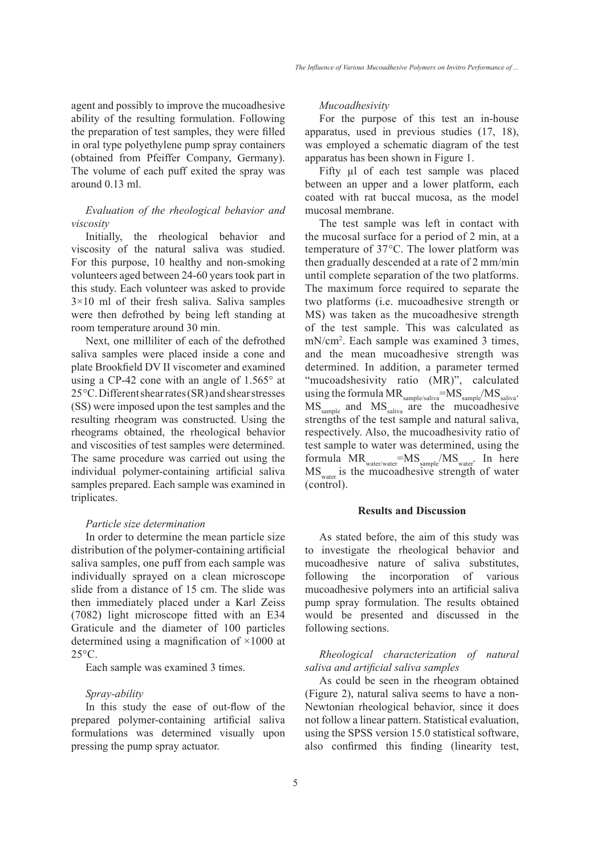agent and possibly to improve the mucoadhesive ability of the resulting formulation. Following the preparation of test samples, they were filled in oral type polyethylene pump spray containers (obtained from Pfeiffer Company, Germany). The volume of each puff exited the spray was around 0.13 ml.

# *Evaluation of the rheological behavior and viscosity*

Initially, the rheological behavior and viscosity of the natural saliva was studied. For this purpose, 10 healthy and non-smoking volunteers aged between 24-60 years took part in this study. Each volunteer was asked to provide  $3\times10$  ml of their fresh saliva. Saliva samples were then defrothed by being left standing at room temperature around 30 min.

Next, one milliliter of each of the defrothed saliva samples were placed inside a cone and plate Brookfield DV II viscometer and examined using a CP-42 cone with an angle of  $1.565^{\circ}$  at 25°C. Different shear rates (SR) and shear stresses (SS) were imposed upon the test samples and the resulting rheogram was constructed. Using the rheograms obtained, the rheological behavior and viscosities of test samples were determined. The same procedure was carried out using the individual polymer-containing artificial saliva samples prepared. Each sample was examined in triplicates.

#### *Particle size determination*

In order to determine the mean particle size distribution of the polymer-containing artificial saliva samples, one puff from each sample was individually sprayed on a clean microscope slide from a distance of 15 cm. The slide was then immediately placed under a Karl Zeiss (7082) light microscope fitted with an E34 Graticule and the diameter of 100 particles determined using a magnification of ×1000 at 25°C.

Each sample was examined 3 times.

# *Spray-ability*

In this study the ease of out-flow of the prepared polymer-containing artificial saliva formulations was determined visually upon pressing the pump spray actuator.

# *Mucoadhesivity*

For the purpose of this test an in-house apparatus, used in previous studies (17, 18), was employed a schematic diagram of the test apparatus has been shown in Figure 1.

Fifty µl of each test sample was placed between an upper and a lower platform, each coated with rat buccal mucosa, as the model mucosal membrane.

The test sample was left in contact with the mucosal surface for a period of 2 min, at a temperature of 37°C. The lower platform was then gradually descended at a rate of 2 mm/min until complete separation of the two platforms. The maximum force required to separate the two platforms (i.e. mucoadhesive strength or MS) was taken as the mucoadhesive strength of the test sample. This was calculated as mN/cm2 . Each sample was examined 3 times, and the mean mucoadhesive strength was determined. In addition, a parameter termed "mucoadshesivity ratio (MR)", calculated using the formula  $MR_{\text{sample/saliva}}=MS_{\text{sample}}/MS_{\text{saliva}}.$ MS<sub>sample</sub> and MS<sub>saliva</sub> are the mucoadhesive strengths of the test sample and natural saliva, respectively. Also, the mucoadhesivity ratio of test sample to water was determined, using the formula  $MR_{\text{water/water}}=MS_{\text{sample}}/MS_{\text{water}}$ . In here MS<sub>water</sub> is the mucoadhesive strength of water (control).

# **Results and Discussion**

As stated before, the aim of this study was to investigate the rheological behavior and mucoadhesive nature of saliva substitutes, following the incorporation of various mucoadhesive polymers into an artificial saliva pump spray formulation. The results obtained would be presented and discussed in the following sections.

# *Rheological characterization of natural saliva and artificial saliva samples*

As could be seen in the rheogram obtained (Figure 2), natural saliva seems to have a non-Newtonian rheological behavior, since it does not follow a linear pattern. Statistical evaluation, using the SPSS version 15.0 statistical software, also confirmed this finding (linearity test,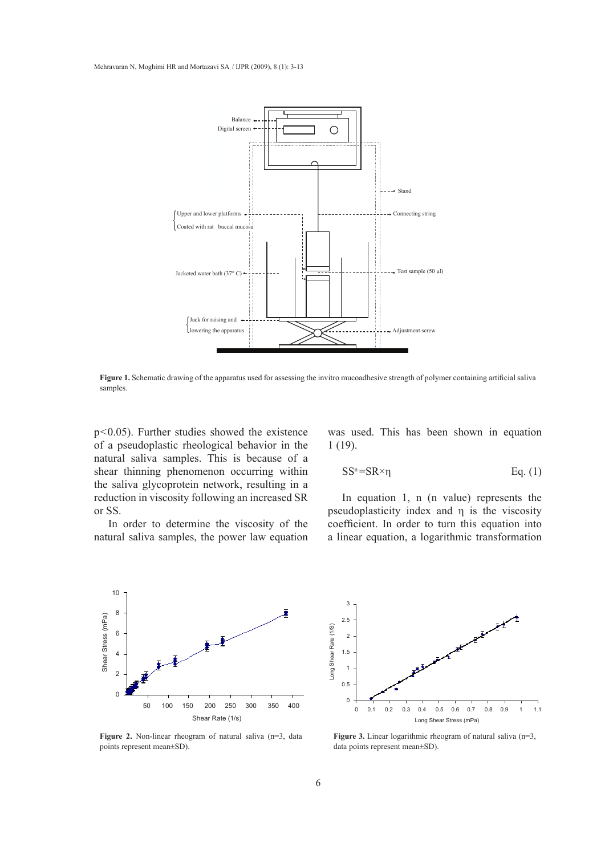

**Figure 1.** Schematic drawing of the apparatus used for assessing the invitro mucoadhesive strength of polymer containing artificial saliva samples.

p<0.05). Further studies showed the existence of a pseudoplastic rheological behavior in the natural saliva samples. This is because of a shear thinning phenomenon occurring within the saliva glycoprotein network, resulting in a reduction in viscosity following an increased SR or SS.

In order to determine the viscosity of the natural saliva samples, the power law equation was used. This has been shown in equation 1 (19).

$$
SS^{n} = SR \times \eta \qquad Eq. (1)
$$

In equation 1, n (n value) represents the pseudoplasticity index and η is the viscosity coefficient. In order to turn this equation into a linear equation, a logarithmic transformation



Long Shear Rate (1/S) Long Shear Rate (1/S) 2 1.5 1 0.5 0 0 0.1 0.2 0.3 0.4 0.5 0.6 0.7 0.8 0.9 1 1.1 Long Shear Stress (mPa)

Figure 2. Non-linear rheogram of natural saliva (n=3, data points represent mean±SD).

Figure 3. Linear logarithmic rheogram of natural saliva (n=3, data points represent mean±SD).

3 2.5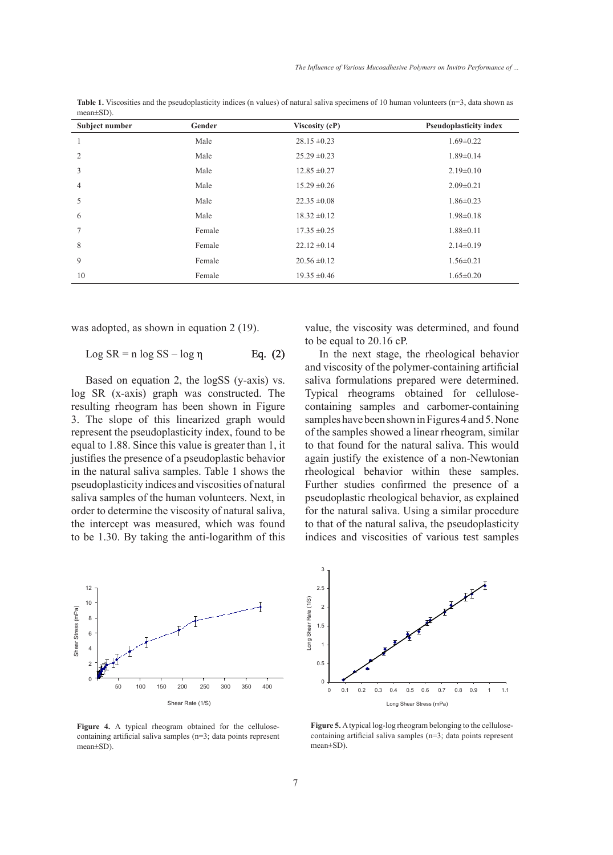value, the viscosity was determined, and found

In the next stage, the rheological behavior and viscosity of the polymer-containing artificial saliva formulations prepared were determined. Typical rheograms obtained for cellulosecontaining samples and carbomer-containing samples have been shown in Figures 4 and 5. None of the samples showed a linear rheogram, similar to that found for the natural saliva. This would again justify the existence of a non-Newtonian rheological behavior within these samples. Further studies confirmed the presence of a pseudoplastic rheological behavior, as explained for the natural saliva. Using a similar procedure to that of the natural saliva, the pseudoplasticity

to be equal to 20.16 cP.

| Subject number | Gender | Viscosity (cP)   | <b>Pseudoplasticity index</b> |
|----------------|--------|------------------|-------------------------------|
|                | Male   | $28.15 \pm 0.23$ | $1.69 \pm 0.22$               |
| $\overline{2}$ | Male   | $25.29 \pm 0.23$ | $1.89 \pm 0.14$               |
| 3              | Male   | $12.85 \pm 0.27$ | $2.19\pm0.10$                 |
| $\overline{4}$ | Male   | $15.29 \pm 0.26$ | $2.09 \pm 0.21$               |
| 5              | Male   | $22.35 \pm 0.08$ | $1.86 \pm 0.23$               |
| 6              | Male   | $18.32 \pm 0.12$ | $1.98 \pm 0.18$               |
| $\overline{7}$ | Female | $17.35 \pm 0.25$ | $1.88 \pm 0.11$               |
| 8              | Female | $22.12 \pm 0.14$ | $2.14\pm0.19$                 |
| 9              | Female | $20.56 \pm 0.12$ | $1.56 \pm 0.21$               |
| 10             | Female | $19.35 \pm 0.46$ | $1.65 \pm 0.20$               |

Table 1. Viscosities and the pseudoplasticity indices (n values) of natural saliva specimens of 10 human volunteers (n=3, data shown as mean±SD).

was adopted, as shown in equation 2 (19).

$$
Log SR = n log SS - log \eta
$$
 Eq. (2)

Based on equation 2, the logSS (y-axis) vs. log SR (x-axis) graph was constructed. The resulting rheogram has been shown in Figure 3. The slope of this linearized graph would represent the pseudoplasticity index, found to be equal to 1.88. Since this value is greater than 1, it justifies the presence of a pseudoplastic behavior in the natural saliva samples. Table 1 shows the pseudoplasticity indices and viscosities of natural saliva samples of the human volunteers. Next, in order to determine the viscosity of natural saliva, the intercept was measured, which was found to be 1.30. By taking the anti-logarithm of this

12 10 Shear Stress (mPa) Shear Stress (mPa) 8 6 4 2 0 50 100 150 200 250 300 350 400 Shear Rate (1/S)

**Figure 4.** A typical rheogram obtained for the cellulosecontaining artificial saliva samples (n=3; data points represent mean±SD).



**Figure 5.** A t**y**pical log-log rheogram belonging to the cellulosecontaining artificial saliva samples (n=3; data points represent mean±SD).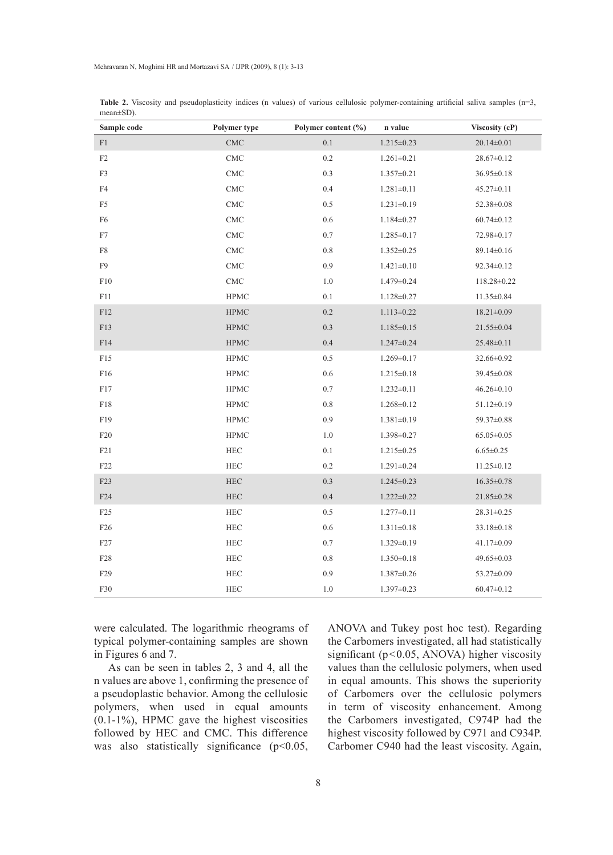| Sample code     | Polymer type                | Polymer content (%) | n value          | Viscosity (cP)   |
|-----------------|-----------------------------|---------------------|------------------|------------------|
| F1              | $\ensuremath{\mathrm{CMC}}$ | 0.1                 | $1.215 \pm 0.23$ | $20.14 \pm 0.01$ |
| $\rm F2$        | $\ensuremath{\mathrm{CMC}}$ | $0.2\,$             | $1.261 \pm 0.21$ | $28.67 \pm 0.12$ |
| F3              | $\ensuremath{\mathrm{CMC}}$ | $0.3\,$             | $1.357 \pm 0.21$ | $36.95 \pm 0.18$ |
| F4              | $\ensuremath{\mathrm{CMC}}$ | 0.4                 | $1.281 \pm 0.11$ | $45.27 \pm 0.11$ |
| F5              | CMC                         | 0.5                 | $1.231 \pm 0.19$ | 52.38±0.08       |
| F <sub>6</sub>  | $\ensuremath{\mathrm{CMC}}$ | $0.6\,$             | $1.184 \pm 0.27$ | $60.74 \pm 0.12$ |
| ${\rm F}7$      | $\ensuremath{\mathrm{CMC}}$ | $0.7\,$             | $1.285 \pm 0.17$ | 72.98±0.17       |
| F8              | $\ensuremath{\mathrm{CMC}}$ | $0.8\,$             | $1.352 \pm 0.25$ | 89.14±0.16       |
| F9              | $\ensuremath{\mathrm{CMC}}$ | 0.9                 | $1.421 \pm 0.10$ | $92.34 \pm 0.12$ |
| ${\rm F10}$     | $\ensuremath{\mathrm{CMC}}$ | $1.0\,$             | $1.479 \pm 0.24$ | 118.28±0.22      |
| F11             | <b>HPMC</b>                 | 0.1                 | $1.128 \pm 0.27$ | 11.35±0.84       |
| ${\rm F}12$     | <b>HPMC</b>                 | 0.2                 | $1.113 \pm 0.22$ | $18.21 \pm 0.09$ |
| F13             | <b>HPMC</b>                 | 0.3                 | $1.185 \pm 0.15$ | $21.55 \pm 0.04$ |
| F14             | <b>HPMC</b>                 | 0.4                 | $1.247 \pm 0.24$ | $25.48 \pm 0.11$ |
| F15             | <b>HPMC</b>                 | $0.5\,$             | $1.269 \pm 0.17$ | 32.66±0.92       |
| F16             | <b>HPMC</b>                 | 0.6                 | $1.215 \pm 0.18$ | 39.45±0.08       |
| F17             | <b>HPMC</b>                 | 0.7                 | $1.232 \pm 0.11$ | $46.26 \pm 0.10$ |
| ${\rm F}18$     | <b>HPMC</b>                 | $0.8\,$             | $1.268 \pm 0.12$ | $51.12 \pm 0.19$ |
| F19             | <b>HPMC</b>                 | 0.9                 | $1.381 \pm 0.19$ | 59.37±0.88       |
| F20             | <b>HPMC</b>                 | $1.0\,$             | $1.398 \pm 0.27$ | $65.05 \pm 0.05$ |
| F21             | $\rm{HEC}$                  | 0.1                 | $1.215 \pm 0.25$ | $6.65 \pm 0.25$  |
| F22             | ${\rm HEC}$                 | 0.2                 | $1.291 \pm 0.24$ | $11.25 \pm 0.12$ |
| F23             | $\rm{HEC}$                  | 0.3                 | $1.245 \pm 0.23$ | $16.35 \pm 0.78$ |
| F24             | ${\rm HEC}$                 | 0.4                 | $1.222 \pm 0.22$ | $21.85 \pm 0.28$ |
| F <sub>25</sub> | ${\rm HEC}$                 | 0.5                 | $1.277 \pm 0.11$ | $28.31 \pm 0.25$ |
| F <sub>26</sub> | ${\rm HEC}$                 | $0.6\,$             | $1.311 \pm 0.18$ | $33.18 \pm 0.18$ |
| F27             | HEC                         | $0.7\,$             | $1.329 \pm 0.19$ | $41.17 \pm 0.09$ |
| ${\rm F28}$     | $\rm{HEC}$                  | $0.8\,$             | $1.350 \pm 0.18$ | 49.65±0.03       |
| F29             | $\rm{HEC}$                  | 0.9                 | $1.387 \pm 0.26$ | 53.27±0.09       |
| ${\rm F}30$     | $\rm{HEC}$                  | $1.0\,$             | $1.397 \pm 0.23$ | $60.47 \pm 0.12$ |

Table 2. Viscosity and pseudoplasticity indices (n values) of various cellulosic polymer-containing artificial saliva samples (n=3, mean±SD).

were calculated. The logarithmic rheograms of typical polymer-containing samples are shown in Figures 6 and 7.

As can be seen in tables 2, 3 and 4, all the n values are above 1, confirming the presence of a pseudoplastic behavior. Among the cellulosic polymers, when used in equal amounts (0.1-1%), HPMC gave the highest viscosities followed by HEC and CMC. This difference was also statistically significance  $(p<0.05$ , ANOVA and Tukey post hoc test). Regarding the carbomers investigated, all had statistically significant ( $p$ <0.05, ANOVA) higher viscosity values than the cellulosic polymers, when used in equal amounts. This shows the superiority of carbomers over the cellulosic polymers in term of viscosity enhancement. Among the carbomers investigated, C974P had the highest viscosity followed by C971 and C934P. Carbomer C940 had the least viscosity. Again,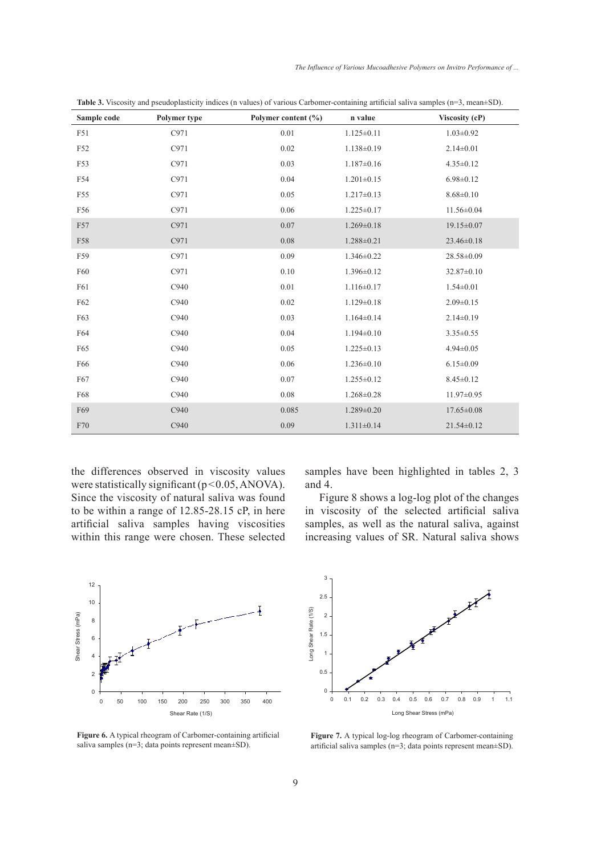*The Influence of Various Mucoadhesive Polymers on Invitro Performance of ...*

| Sample code | Polymer type | Polymer content (%) | n value          | Viscosity (cP)   |
|-------------|--------------|---------------------|------------------|------------------|
| F51         | C971         | 0.01                | $1.125 \pm 0.11$ | $1.03 \pm 0.92$  |
| F52         | C971         | 0.02                | $1.138 \pm 0.19$ | $2.14 \pm 0.01$  |
| F53         | C971         | 0.03                | $1.187 \pm 0.16$ | $4.35 \pm 0.12$  |
| F54         | C971         | 0.04                | $1.201 \pm 0.15$ | $6.98 \pm 0.12$  |
| F55         | C971         | 0.05                | $1.217 \pm 0.13$ | $8.68 \pm 0.10$  |
| F56         | C971         | 0.06                | $1.225 \pm 0.17$ | 11.56±0.04       |
| F57         | C971         | 0.07                | $1.269 \pm 0.18$ | 19.15 ± 0.07     |
| F58         | C971         | 0.08                | $1.288 \pm 0.21$ | 23.46±0.18       |
| F59         | C971         | 0.09                | $1.346 \pm 0.22$ | 28.58±0.09       |
| F60         | C971         | 0.10                | $1.396 \pm 0.12$ | 32.87±0.10       |
| F61         | C940         | 0.01                | $1.116 \pm 0.17$ | $1.54 \pm 0.01$  |
| F62         | C940         | 0.02                | $1.129 \pm 0.18$ | $2.09 \pm 0.15$  |
| F63         | C940         | 0.03                | $1.164 \pm 0.14$ | $2.14\pm0.19$    |
| F64         | C940         | 0.04                | $1.194 \pm 0.10$ | $3.35 \pm 0.55$  |
| F65         | C940         | 0.05                | $1.225 \pm 0.13$ | $4.94 \pm 0.05$  |
| F66         | C940         | 0.06                | $1.236 \pm 0.10$ | $6.15 \pm 0.09$  |
| F67         | C940         | 0.07                | $1.255 \pm 0.12$ | $8.45 \pm 0.12$  |
| F68         | C940         | $0.08\,$            | $1.268 \pm 0.28$ | 11.97±0.95       |
| F69         | C940         | 0.085               | $1.289 \pm 0.20$ | $17.65 \pm 0.08$ |
| F70         | C940         | 0.09                | $1.311 \pm 0.14$ | $21.54 \pm 0.12$ |

**Table 3.** Viscosity and pseudoplasticity indices (n values) of various carbomer-containing artificial saliva samples (n=3, mean±SD).

the differences observed in viscosity values were statistically significant  $(p<0.05, ANOVA)$ . Since the viscosity of natural saliva was found to be within a range of 12.85-28.15 cP, in here artificial saliva samples having viscosities within this range were chosen. These selected samples have been highlighted in tables 2, 3 and 4.

Figure 8 shows a log-log plot of the changes in viscosity of the selected artificial saliva samples, as well as the natural saliva, against increasing values of SR. Natural saliva shows



**Figure 6.** A typical rheogram of carbomer-containing artificial saliva samples (n=3; data points represent mean±SD).



Figure 7. A typical log-log rheogram of Carbomer-containing artificial saliva samples (n=3; data points represent mean±SD).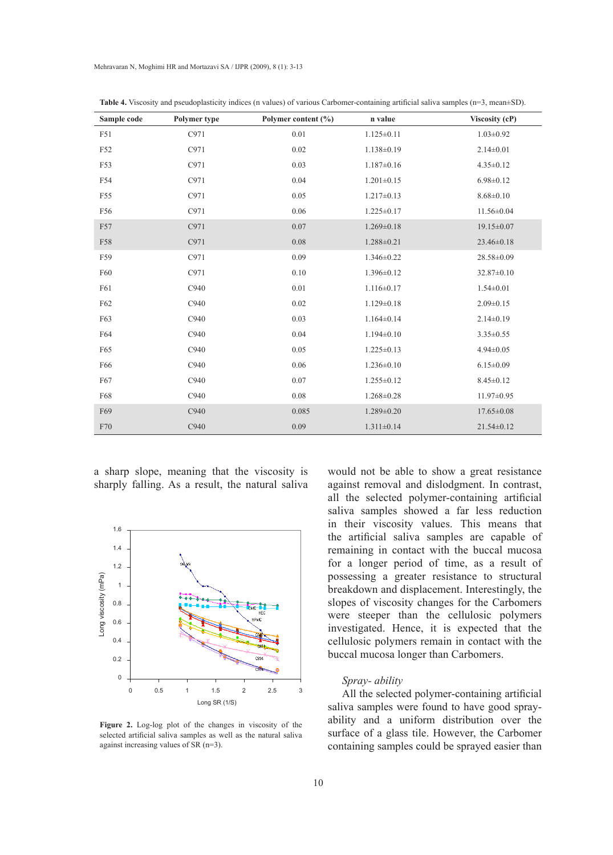| Sample code | Polymer type | Polymer content (%) | n value          | Viscosity (cP)   |
|-------------|--------------|---------------------|------------------|------------------|
| F51         | C971         | 0.01                | $1.125 \pm 0.11$ | $1.03 \pm 0.92$  |
| F52         | C971         | 0.02                | $1.138 \pm 0.19$ | $2.14 \pm 0.01$  |
| F53         | C971         | 0.03                | $1.187 \pm 0.16$ | $4.35 \pm 0.12$  |
| F54         | C971         | 0.04                | $1.201 \pm 0.15$ | $6.98 \pm 0.12$  |
| F55         | C971         | 0.05                | $1.217 \pm 0.13$ | $8.68 \pm 0.10$  |
| F56         | C971         | 0.06                | $1.225 \pm 0.17$ | $11.56 \pm 0.04$ |
| F57         | C971         | 0.07                | $1.269 \pm 0.18$ | $19.15 \pm 0.07$ |
| F58         | C971         | 0.08                | $1.288 \pm 0.21$ | $23.46 \pm 0.18$ |
| F59         | C971         | 0.09                | $1.346 \pm 0.22$ | 28.58±0.09       |
| F60         | C971         | 0.10                | $1.396 \pm 0.12$ | 32.87±0.10       |
| F61         | C940         | 0.01                | $1.116 \pm 0.17$ | $1.54 \pm 0.01$  |
| F62         | C940         | 0.02                | $1.129 \pm 0.18$ | $2.09 \pm 0.15$  |
| F63         | C940         | 0.03                | $1.164 \pm 0.14$ | $2.14\pm0.19$    |
| F64         | C940         | 0.04                | $1.194 \pm 0.10$ | $3.35 \pm 0.55$  |
| F65         | C940         | 0.05                | $1.225 \pm 0.13$ | $4.94 \pm 0.05$  |
| F66         | C940         | 0.06                | $1.236 \pm 0.10$ | $6.15 \pm 0.09$  |
| F67         | C940         | 0.07                | $1.255 \pm 0.12$ | $8.45 \pm 0.12$  |
| F68         | C940         | 0.08                | $1.268 \pm 0.28$ | $11.97 \pm 0.95$ |
| F69         | C940         | 0.085               | $1.289 \pm 0.20$ | $17.65 \pm 0.08$ |
| F70         | C940         | 0.09                | $1.311 \pm 0.14$ | $21.54 \pm 0.12$ |

**Table 4.** Viscosity and pseudoplasticity indices (n values) of various carbomer-containing artificial saliva samples (n=3, mean±SD).

a sharp slope, meaning that the viscosity is sharply falling. As a result, the natural saliva



**Figure 2.** Log-log plot of the changes in viscosity of the selected artificial saliva samples as well as the natural saliva against increasing values of SR (n=3).

would not be able to show a great resistance against removal and dislodgment. In contrast, all the selected polymer-containing artificial saliva samples showed a far less reduction in their viscosity values. This means that the artificial saliva samples are capable of remaining in contact with the buccal mucosa for a longer period of time, as a result of possessing a greater resistance to structural breakdown and displacement. Interestingly, the slopes of viscosity changes for the carbomers were steeper than the cellulosic polymers investigated. Hence, it is expected that the cellulosic polymers remain in contact with the buccal mucosa longer than carbomers.

## *Spray- ability*

All the selected polymer-containing artificial saliva samples were found to have good sprayability and a uniform distribution over the surface of a glass tile. However, the carbomer containing samples could be sprayed easier than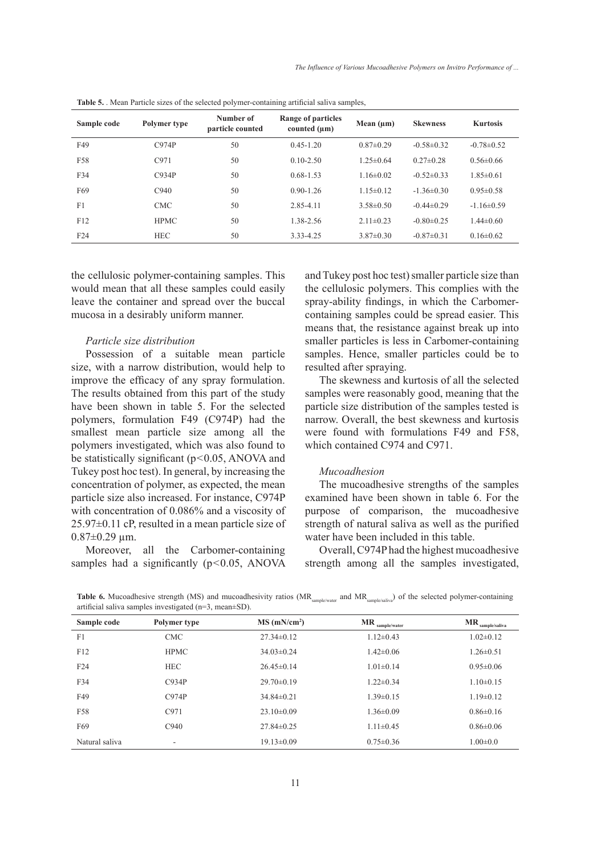*The Influence of Various Mucoadhesive Polymers on Invitro Performance of ...*

| Tuble of . mean I arrive sizes of the selected portiner comaning arrivear san ta samples, |              |                               |                                         |                 |                  |                 |
|-------------------------------------------------------------------------------------------|--------------|-------------------------------|-----------------------------------------|-----------------|------------------|-----------------|
| Sample code                                                                               | Polymer type | Number of<br>particle counted | Range of particles<br>counted $(\mu m)$ | Mean $(\mu m)$  | <b>Skewness</b>  | <b>Kurtosis</b> |
| F49                                                                                       | C974P        | 50                            | $0.45 - 1.20$                           | $0.87\pm0.29$   | $-0.58\pm0.32$   | $-0.78\pm 0.52$ |
| F58                                                                                       | C971         | 50                            | $0.10 - 2.50$                           | $1.25 \pm 0.64$ | $0.27 \pm 0.28$  | $0.56 \pm 0.66$ |
| F34                                                                                       | C934P        | 50                            | $0.68 - 1.53$                           | $1.16 \pm 0.02$ | $-0.52\pm0.33$   | $1.85 \pm 0.61$ |
| F69                                                                                       | C940         | 50                            | $0.90 - 1.26$                           | $1.15 \pm 0.12$ | $-1.36\pm0.30$   | $0.95 \pm 0.58$ |
| F1                                                                                        | <b>CMC</b>   | 50                            | 2.85-4.11                               | $3.58 \pm 0.50$ | $-0.44\pm 0.29$  | $-1.16\pm0.59$  |
| F12                                                                                       | <b>HPMC</b>  | 50                            | 1.38-2.56                               | $2.11 \pm 0.23$ | $-0.80 \pm 0.25$ | $1.44 \pm 0.60$ |
| F24                                                                                       | <b>HEC</b>   | 50                            | 3 3 3 - 4 2 5                           | $3.87\pm0.30$   | $-0.87\pm0.31$   | $0.16 \pm 0.62$ |

**Table 5.** Mean Particle sizes of the selected polymer-containing artificial saliva samples

the cellulosic polymer-containing samples. This would mean that all these samples could easily leave the container and spread over the buccal mucosa in a desirably uniform manner.

## *Particle size distribution*

Possession of a suitable mean particle size, with a narrow distribution, would help to improve the efficacy of any spray formulation. The results obtained from this part of the study have been shown in table 5. For the selected polymers, formulation F49 (C974P) had the smallest mean particle size among all the polymers investigated, which was also found to be statistically significant (p<0.05, ANOVA and Tukey post hoc test). In general, by increasing the concentration of polymer, as expected, the mean particle size also increased. For instance, C974P with concentration of 0.086% and a viscosity of 25.97±0.11 cP, resulted in a mean particle size of  $0.87 \pm 0.29$  µm.

Moreover, all the Carbomer-containing samples had a significantly  $(p<0.05, ANOVA)$  and Tukey post hoc test) smaller particle size than the cellulosic polymers. This complies with the spray-ability findings, in which the carbomercontaining samples could be spread easier. This means that, the resistance against break up into smaller particles is less in carbomer-containing samples. Hence, smaller particles could be to resulted after spraying.

The skewness and kurtosis of all the selected samples were reasonably good, meaning that the particle size distribution of the samples tested is narrow. Overall, the best skewness and kurtosis were found with formulations F49 and F58, which contained C974 and C971.

## *Mucoadhesion*

The mucoadhesive strengths of the samples examined have been shown in table 6. For the purpose of comparison, the mucoadhesive strength of natural saliva as well as the purified water have been included in this table.

Overall, C974P had the highest mucoadhesive strength among all the samples investigated,

Table 6. Mucoadhesive strength (MS) and mucoadhesivity ratios (MR<sub>sample/water</sub> and MR<sub>sample/saliva</sub>) of the selected polymer-containing artificial saliva samples investigated (n=3, mean±SD).

| Sample code    | Polymer type             | $MS$ (mN/cm <sup>2</sup> ) | <b>MR</b><br>sample/water | <b>MR</b><br>sample/saliva |
|----------------|--------------------------|----------------------------|---------------------------|----------------------------|
| F <sub>1</sub> | <b>CMC</b>               | $27.34 \pm 0.12$           | $1.12 \pm 0.43$           | $1.02 \pm 0.12$            |
| F12            | <b>HPMC</b>              | $34.03\pm0.24$             | $1.42 \pm 0.06$           | $1.26 \pm 0.51$            |
| F24            | <b>HEC</b>               | $26.45\pm0.14$             | $1.01 \pm 0.14$           | $0.95 \pm 0.06$            |
| F34            | C934P                    | $29.70 \pm 0.19$           | $1.22 \pm 0.34$           | $1.10\pm0.15$              |
| F49            | C974P                    | $34.84\pm0.21$             | $1.39 \pm 0.15$           | $1.19 \pm 0.12$            |
| F58            | C971                     | $23.10\pm0.09$             | $1.36 \pm 0.09$           | $0.86\pm0.16$              |
| F69            | C940                     | $27.84 \pm 0.25$           | $1.11 \pm 0.45$           | $0.86 \pm 0.06$            |
| Natural saliva | $\overline{\phantom{a}}$ | $19.13 \pm 0.09$           | $0.75 \pm 0.36$           | $1.00 \pm 0.0$             |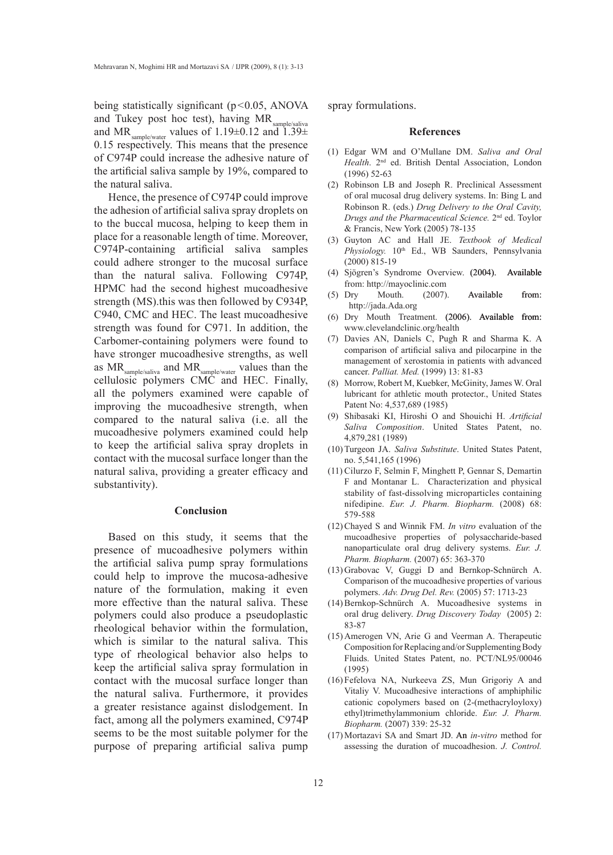being statistically significant  $(p<0.05, ANOVA)$ and Tukey post hoc test), having MR<sub>sample/saliva</sub> and MR sample/water values of 1.19 $\pm$ 0.12 and 1.39 $\pm$ 0.15 respectively. This means that the presence of C974P could increase the adhesive nature of the artificial saliva sample by 19%, compared to the natural saliva.

Hence, the presence of C974P could improve the adhesion of artificial saliva spray droplets on to the buccal mucosa, helping to keep them in place for a reasonable length of time. Moreover, C974P-containing artificial saliva samples could adhere stronger to the mucosal surface than the natural saliva. Following C974P, HPMC had the second highest mucoadhesive strength (MS).this was then followed by C934P, C940, CMC and HEC. The least mucoadhesive strength was found for C971. In addition, the carbomer-containing polymers were found to have stronger mucoadhesive strengths, as well as  $MR_{\text{sample/saliva}}$  and  $MR_{\text{sample/water}}$  values than the cellulosic polymers CMC and HEC. Finally, all the polymers examined were capable of improving the mucoadhesive strength, when compared to the natural saliva (i.e. all the mucoadhesive polymers examined could help to keep the artificial saliva spray droplets in contact with the mucosal surface longer than the natural saliva, providing a greater efficacy and substantivity).

## **Conclusion**

Based on this study, it seems that the presence of mucoadhesive polymers within the artificial saliva pump spray formulations could help to improve the mucosa-adhesive nature of the formulation, making it even more effective than the natural saliva. These polymers could also produce a pseudoplastic rheological behavior within the formulation, which is similar to the natural saliva. This type of rheological behavior also helps to keep the artificial saliva spray formulation in contact with the mucosal surface longer than the natural saliva. Furthermore, it provides a greater resistance against dislodgement. In fact, among all the polymers examined, C974P seems to be the most suitable polymer for the purpose of preparing artificial saliva pump spray formulations.

#### **References**

- Edgar WM and O'Mullane DM. *Saliva and Oral*  (1) *Health*. 2nd ed. British Dental Association, London (1996) 52-63
- (2) Robinson LB and Joseph R. Preclinical Assessment of oral mucosal drug delivery systems. In: Bing L and Robinson R. (eds.) *Drug Delivery to the Oral Cavity, Drugs and the Pharmaceutical Science.* 2nd ed. Toylor & Francis, New York (2005) 78-135
- Guyton AC and Hall JE. *Textbook of Medical*  (3) Physiology. 10<sup>th</sup> Ed., WB Saunders, Pennsylvania (2000) 815-19
- (4) Sjögren's Syndrome Overview. (2004). Available from: http://mayoclinic.com
- Mouth. (2007). Available from: http://jada.Ada.org  $(5)$  Drv
- $(6)$  Dry Mouth Treatment.  $(2006)$ . Available from: www.clevelandclinic.org/health
- (7) Davies AN, Daniels C, Pugh R and Sharma K. A comparison of artificial saliva and pilocarpine in the management of xerostomia in patients with advanced cancer. *Palliat. Med.* (1999) 13: 81-83
- (8) Morrow, Robert M, Kuebker, McGinity, James W. Oral lubricant for athletic mouth protector., United States Patent No: 4,537,689 (1985)
- Shibasaki KI, Hiroshi O and Shouichi H. *Artificial*  (9) *Saliva Composition*. United States Patent, no. 4,879,281 (1989)
- (10) Turgeon JA. Saliva Substitute. United States Patent, no. 5,541,165 (1996)
- (11) Cilurzo F, Selmin F, Minghett P, Gennar S, Demartin F and Montanar L. Characterization and physical stability of fast-dissolving microparticles containing nifedipine. *Eur. J. Pharm. Biopharm.* (2008) 68: 579-588
- Chayed S and Winnik FM. *In vitro* evaluation of the (12) mucoadhesive properties of polysaccharide-based nanoparticulate oral drug delivery systems. *Eur. J. Pharm. Biopharm.* (2007) 65: 363-370
- (13) Grabovac V, Guggi D and Bernkop-Schnürch A. Comparison of the mucoadhesive properties of various polymers. *Adv. Drug Del. Rev.* (2005) 57: 1713-23
- (14) Bernkop-Schnürch A. Mucoadhesive systems in oral drug delivery. *Drug Discovery Today* (2005) 2: 83-87
- (15) Amerogen VN, Arie G and Veerman A. Therapeutic Composition for Replacing and/or Supplementing Body Fluids. United States Patent, no. PCT/NL95/00046 (1995)
- Fefelova NA, Nurkeeva ZS, Mun Grigoriy A and (16) Vitaliy V. Mucoadhesive interactions of amphiphilic cationic copolymers based on (2-(methacryloyloxy) ethyl)trimethylammonium chloride. *Eur. J. Pharm. Biopharm.* (2007) 339: 25-32
- Mortazavi SA and Smart JD. An*in-vitro* method for (17) assessing the duration of mucoadhesion. *J. Control.*